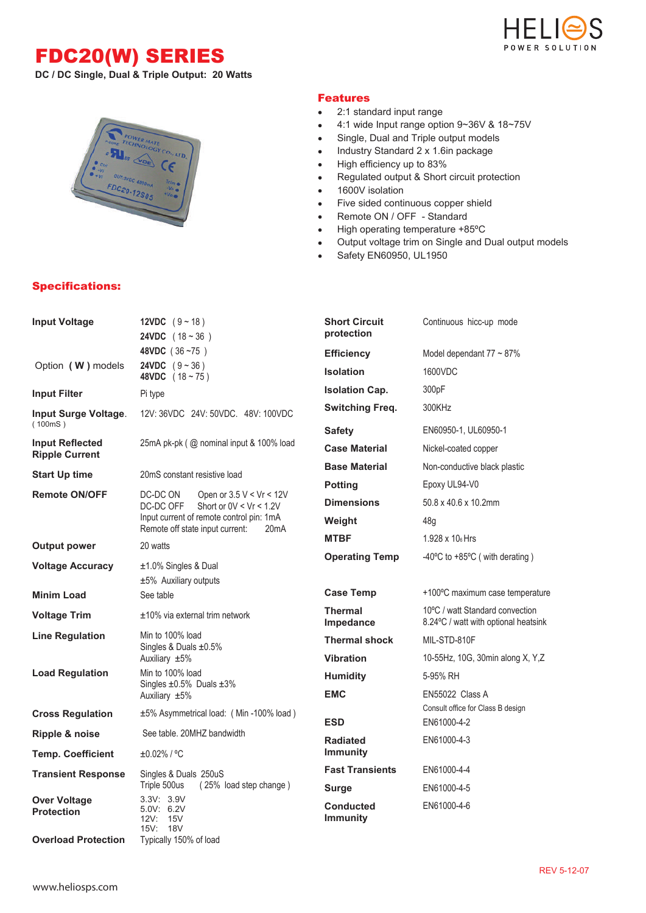## FDC20(W) SERIES







## Specifications:

## Features

- 2:1 standard input range
- 4:1 wide Input range option 9~36V & 18~75V  $\bullet$
- $\bullet$ Single, Dual and Triple output models
- Industry Standard 2 x 1.6in package  $\bullet$
- High efficiency up to 83%  $\bullet$
- Regulated output & Short circuit protection  $\bullet$
- 1600V isolation  $\bullet$
- Five sided continuous copper shield  $\bullet$
- Remote ON / OFF Standard  $\bullet$
- High operating temperature +85ºC  $\bullet$
- Output voltage trim on Single and Dual output models  $\bullet$
- Safety EN60950, UL1950  $\bullet$

| <b>Input Voltage</b>                            | 12VDC $(9 - 18)$<br><b>24VDC</b> $(18 - 36)$                                                     | <b>Short Circuit</b><br>protection  | Continuous hicc-up mode                                                 |  |  |
|-------------------------------------------------|--------------------------------------------------------------------------------------------------|-------------------------------------|-------------------------------------------------------------------------|--|--|
|                                                 | 48VDC (36~75)                                                                                    | <b>Efficiency</b>                   | Model dependant $77 \sim 87\%$                                          |  |  |
| Option (W) models                               | <b>24VDC</b> $(9 - 36)$<br>48VDC $(18 - 75)$                                                     | <b>Isolation</b>                    | 1600VDC                                                                 |  |  |
| <b>Input Filter</b>                             | Pi type                                                                                          | <b>Isolation Cap.</b>               | 300 <sub>pF</sub>                                                       |  |  |
| Input Surge Voltage.<br>(100mS)                 | 12V: 36VDC 24V: 50VDC. 48V: 100VDC                                                               | <b>Switching Freq.</b>              | 300KHz                                                                  |  |  |
|                                                 |                                                                                                  | <b>Safety</b>                       | EN60950-1, UL60950-1                                                    |  |  |
| <b>Input Reflected</b><br><b>Ripple Current</b> | 25mA pk-pk (@ nominal input & 100% load                                                          | <b>Case Material</b>                | Nickel-coated copper                                                    |  |  |
| <b>Start Up time</b>                            | 20mS constant resistive load                                                                     | <b>Base Material</b>                | Non-conductive black plastic                                            |  |  |
| <b>Remote ON/OFF</b>                            | DC-DC ON<br>Open or $3.5 V < Vr < 12V$                                                           | <b>Potting</b>                      | Epoxy UL94-V0                                                           |  |  |
|                                                 | DC-DC OFF<br>Short or $0V < Vr < 1.2V$                                                           | <b>Dimensions</b>                   | 50.8 x 40.6 x 10.2mm                                                    |  |  |
|                                                 | Input current of remote control pin: 1mA<br>Remote off state input current:<br>20 <sub>m</sub> A | Weight                              | 48g                                                                     |  |  |
| <b>Output power</b>                             | 20 watts                                                                                         | <b>MTBF</b>                         | $1.928 \times 10_6$ Hrs                                                 |  |  |
| <b>Voltage Accuracy</b>                         | ±1.0% Singles & Dual<br>±5% Auxiliary outputs                                                    | <b>Operating Temp</b>               | -40 $\degree$ C to +85 $\degree$ C (with derating)                      |  |  |
| <b>Minim Load</b>                               | See table                                                                                        | <b>Case Temp</b>                    | +100°C maximum case temperature                                         |  |  |
| <b>Voltage Trim</b>                             | $±10\%$ via external trim network                                                                | <b>Thermal</b><br>Impedance         | 10°C / watt Standard convection<br>8.24°C / watt with optional heatsink |  |  |
| <b>Line Regulation</b>                          | Min to 100% load<br>Singles & Duals $\pm 0.5\%$                                                  | <b>Thermal shock</b>                | MIL-STD-810F                                                            |  |  |
|                                                 | Auxiliary ±5%                                                                                    | <b>Vibration</b>                    | 10-55Hz, 10G, 30min along X, Y,Z                                        |  |  |
| <b>Load Regulation</b>                          | Min to 100% load<br>Singles ±0.5% Duals ±3%                                                      | <b>Humidity</b>                     | 5-95% RH                                                                |  |  |
|                                                 | Auxiliary ±5%                                                                                    | <b>EMC</b>                          | EN55022 Class A                                                         |  |  |
| <b>Cross Regulation</b>                         | ±5% Asymmetrical load: (Min-100% load)                                                           | <b>ESD</b>                          | Consult office for Class B design<br>EN61000-4-2                        |  |  |
| Ripple & noise                                  | See table. 20MHZ bandwidth                                                                       | <b>Radiated</b>                     | EN61000-4-3                                                             |  |  |
| <b>Temp. Coefficient</b>                        | $±0.02\%$ / °C                                                                                   | <b>Immunity</b>                     |                                                                         |  |  |
| <b>Transient Response</b>                       | Singles & Duals 250uS                                                                            | <b>Fast Transients</b>              | EN61000-4-4                                                             |  |  |
|                                                 | Triple 500us<br>(25% load step change)<br>3.3V: 3.9V                                             | <b>Surge</b>                        | EN61000-4-5                                                             |  |  |
| <b>Over Voltage</b><br><b>Protection</b>        | 5.0V: 6.2V<br>12V: 15V<br>15V: 18V                                                               | <b>Conducted</b><br><b>Immunity</b> | EN61000-4-6                                                             |  |  |
| <b>Overload Protection</b>                      | Typically 150% of load                                                                           |                                     |                                                                         |  |  |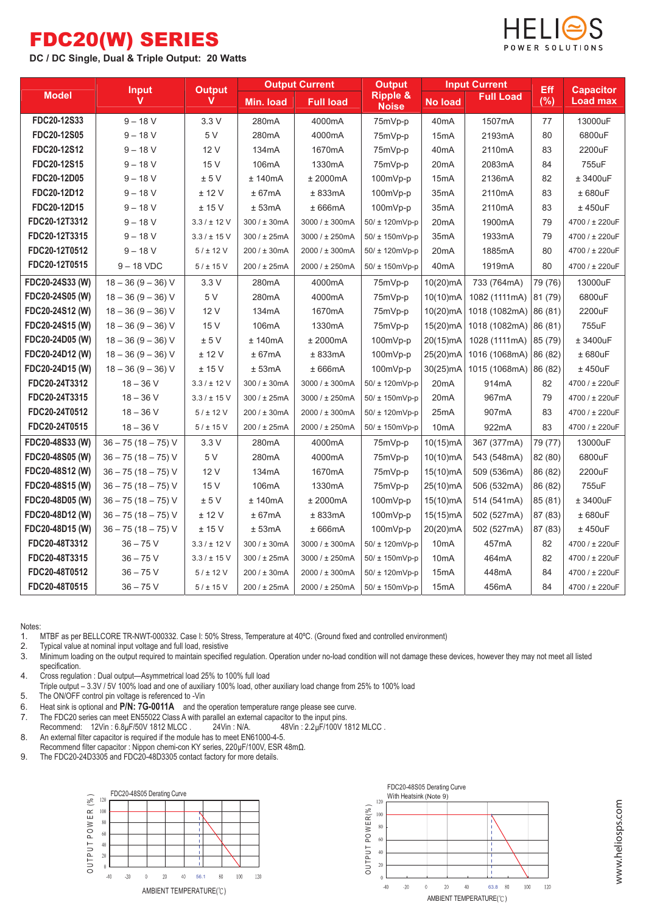## FDC20(W) SERIES

**DC / DC Single, Dual & Triple Output: 20 Watts**



|                 | <b>Input</b><br>v    | <b>Output</b><br>v | <b>Output Current</b> |                  | <b>Output</b>                       |                   | <b>Input Current</b>  | Eff     | <b>Capacitor</b> |
|-----------------|----------------------|--------------------|-----------------------|------------------|-------------------------------------|-------------------|-----------------------|---------|------------------|
| <b>Model</b>    |                      |                    | Min. load             | <b>Full load</b> | <b>Ripple &amp;</b><br><b>Noise</b> | <b>No load</b>    | <b>Full Load</b>      | (%)     | <b>Load max</b>  |
| FDC20-12S33     | $9 - 18$ V           | 3.3V               | 280mA                 | 4000mA           | 75mVp-p                             | 40 <sub>m</sub> A | 1507mA                | 77      | 13000uF          |
| FDC20-12S05     | $9 - 18 V$           | 5 V                | 280mA                 | 4000mA           | 75mVp-p                             | 15 <sub>m</sub> A | 2193mA                | 80      | 6800uF           |
| FDC20-12S12     | $9 - 18 V$           | 12 V               | 134mA                 | 1670mA           | 75mVp-p                             | 40 <sub>m</sub> A | 2110mA                | 83      | 2200uF           |
| FDC20-12S15     | $9 - 18 V$           | 15 V               | 106mA                 | 1330mA           | 75mVp-p                             | 20 <sub>m</sub> A | 2083mA                | 84      | 755uF            |
| FDC20-12D05     | $9 - 18 V$           | $\pm$ 5 V          | ± 140mA               | ± 2000mA         | 100mVp-p                            | 15 <sub>m</sub> A | 2136mA                | 82      | ± 3400uF         |
| FDC20-12D12     | $9 - 18 V$           | ± 12 V             | ± 67mA                | ± 833mA          | 100mVp-p                            | 35 <sub>m</sub> A | 2110mA                | 83      | ± 680uF          |
| FDC20-12D15     | $9 - 18 V$           | ± 15V              | ± 53mA                | ± 666mA          | $100mVp-p$                          | 35 <sub>m</sub> A | 2110mA                | 83      | $±$ 450 $uF$     |
| FDC20-12T3312   | $9 - 18 V$           | $3.3 / \pm 12$ V   | 300 / ± 30mA          | 3000 / ± 300mA   | 50/ ± 120mVp-p                      | 20 <sub>m</sub> A | 1900mA                | 79      | 4700 / ± 220uF   |
| FDC20-12T3315   | $9 - 18$ V           | $3.3 / \pm 15$ V   | 300 / ± 25mA          | 3000 / ± 250mA   | 50/ ± 150mVp-p                      | 35 <sub>m</sub> A | 1933mA                | 79      | 4700 / ± 220uF   |
| FDC20-12T0512   | $9 - 18 V$           | 5 / ± 12 V         | 200 / ± 30mA          | 2000 / ± 300mA   | $50/ \pm 120$ mVp-p                 | 20 <sub>m</sub> A | 1885mA                | 80      | 4700 / ± 220uF   |
| FDC20-12T0515   | $9 - 18$ VDC         | 5 / ± 15 V         | 200 / ± 25mA          | 2000 / ± 250mA   | 50/ ± 150mVp-p                      | 40 <sub>m</sub> A | 1919mA                | 80      | 4700 / ± 220uF   |
| FDC20-24S33 (W) | $18 - 36(9 - 36)$ V  | 3.3V               | 280mA                 | 4000mA           | 75mVp-p                             | 10(20)mA          | 733 (764mA)           | 79 (76) | 13000uF          |
| FDC20-24S05 (W) | $18 - 36 (9 - 36) V$ | 5 V                | 280mA                 | 4000mA           | 75mVp-p                             | 10(10)mA          | 1082 (1111mA) 81 (79) |         | 6800uF           |
| FDC20-24S12 (W) | $18 - 36 (9 - 36) V$ | 12 V               | 134mA                 | 1670mA           | 75mVp-p                             | $10(20)$ mA       | 1018 (1082mA) 86 (81) |         | 2200uF           |
| FDC20-24S15 (W) | $18 - 36 (9 - 36) V$ | 15 V               | 106mA                 | 1330mA           | 75mVp-p                             | 15(20) mA         | 1018 (1082mA) 86 (81) |         | 755uF            |
| FDC20-24D05 (W) | $18 - 36 (9 - 36) V$ | ± 5V               | $±$ 140 $mA$          | $±$ 2000 $mA$    | 100mVp-p                            | 20(15)mA          | 1028 (1111mA)         | 85 (79) | ± 3400uF         |
| FDC20-24D12 (W) | $18 - 36(9 - 36)$ V  | ± 12 V             | ± 67mA                | ± 833mA          | 100mVp-p                            | 25(20)mA          | 1016 (1068mA) 86 (82) |         | ± 680uF          |
| FDC20-24D15 (W) | $18 - 36 (9 - 36) V$ | ± 15 V             | ± 53mA                | ± 666mA          | 100mVp-p                            | 30(25)mA          | 1015 (1068mA)         | 86 (82) | $±$ 450 $uF$     |
| FDC20-24T3312   | $18 - 36$ V          | $3.3 / \pm 12$ V   | 300 / ± 30mA          | 3000 / ± 300mA   | 50/ ± 120mVp-p                      | 20 <sub>m</sub> A | 914mA                 | 82      | 4700 / ± 220uF   |
| FDC20-24T3315   | $18 - 36$ V          | $3.3 / \pm 15$ V   | 300 / ± 25mA          | 3000 / ± 250mA   | $50/ \pm 150$ mVp-p                 | 20 <sub>m</sub> A | 967mA                 | 79      | 4700 / ± 220uF   |
| FDC20-24T0512   | $18 - 36$ V          | 5 / ± 12 V         | 200 / ± 30mA          | 2000 / ± 300mA   | 50/ ± 120mVp-p                      | 25mA              | 907mA                 | 83      | 4700 / ± 220uF   |
| FDC20-24T0515   | $18 - 36$ V          | 5 / ± 15 V         | 200 / ± 25mA          | 2000 / ± 250mA   | 50/ ± 150mVp-p                      | 10 <sub>m</sub> A | 922mA                 | 83      | 4700 / ± 220uF   |
| FDC20-48S33 (W) | $36 - 75(18 - 75)$ V | 3.3V               | 280mA                 | 4000mA           | 75mVp-p                             | 10(15)mA          | 367 (377mA)           | 79 (77) | 13000uF          |
| FDC20-48S05 (W) | $36 - 75(18 - 75)$ V | 5 V                | 280mA                 | 4000mA           | 75mVp-p                             | 10(10)mA          | 543 (548mA)           | 82 (80) | 6800uF           |
| FDC20-48S12 (W) | $36 - 75(18 - 75)$ V | 12 V               | 134mA                 | 1670mA           | 75mVp-p                             | 15(10)mA          | 509 (536mA)           | 86 (82) | 2200uF           |
| FDC20-48S15 (W) | $36 - 75(18 - 75)$ V | 15 V               | 106mA                 | 1330mA           | 75mVp-p                             | 25(10)mA          | 506 (532mA)           | 86 (82) | 755uF            |
| FDC20-48D05 (W) | $36 - 75(18 - 75)$ V | ± 5V               | ± 140mA               | ± 2000mA         | 100mVp-p                            | 15(10)mA          | 514 (541mA)           | 85 (81) | ± 3400uF         |
| FDC20-48D12 (W) | $36 - 75(18 - 75)$ V | ± 12 V             | ± 67mA                | ± 833mA          | 100mVp-p                            | $15(15)$ mA       | 502 (527mA)           | 87 (83) | ± 680uF          |
| FDC20-48D15 (W) | $36 - 75(18 - 75)$ V | ± 15 V             | ± 53mA                | ± 666mA          | 100mVp-p                            | 20(20)mA          | 502 (527mA)           | 87 (83) | $±$ 450 $uF$     |
| FDC20-48T3312   | $36 - 75$ V          | $3.3 / \pm 12$ V   | 300 / ± 30mA          | 3000 / ± 300mA   | 50/ ± 120mVp-p                      | 10 <sub>m</sub> A | 457 <sub>m</sub> A    | 82      | 4700 / ± 220uF   |
| FDC20-48T3315   | $36 - 75$ V          | $3.3 / \pm 15$ V   | 300 / ± 25mA          | 3000 / ± 250mA   | 50/ ± 150mVp-p                      | 10 <sub>m</sub> A | 464mA                 | 82      | 4700 / ± 220uF   |
| FDC20-48T0512   | $36 - 75$ V          | 5 / ± 12 V         | 200 / ± 30mA          | 2000 / ± 300mA   | 50/ ± 120mVp-p                      | 15 <sub>m</sub> A | 448mA                 | 84      | 4700 / ± 220uF   |
| FDC20-48T0515   | $36 - 75$ V          | 5 / ± 15 V         | 200 / ± 25mA          | 2000 / ± 250mA   | 50/ ± 150mVp-p                      | 15 <sub>m</sub> A | 456mA                 | 84      | 4700 / ± 220uF   |

Notes:<br>1. 1. MTBF as per BELLCORE TR-NWT-000332. Case I: 50% Stress, Temperature at 40°C. (Ground fixed and controlled environment)<br>2 Typical value at nominal input voltage and full load resistive

2. Typical value at nominal input voltage and full load, resistive 3. Minimum loading on the output required to maintain specified regulation. Operation under no-load condition will not damage these devices, however they may not meet all listed specification.

- 4. Cross regulation : Dual output—Asymmetrical load 25% to 100% full load
- Triple output 3.3V / 5V 100% load and one of auxiliary 100% load, other auxiliary load change from 25% to 100% load

5. The ON/OFF control pin voltage is referenced to -Vin

- 6. Heat sink is optional and **P/N: 7G-0011A** and the operation temperature range please see curve.
- 
- The FDC20 series can meet EN55022 Class A with parallel an external capacitor to the input pins.<br>Recommend: 12Vin : 6.8µF/50V 1812 MLCC . 24Vin : N/A. 48Vin : 2.2µF/100V 1812 MLCC . Recommend: 12Vin : 6.8µF/50V 1812 MLCC. 8. An external filter capacitor is required if the module has to meet EN61000-4-5.
- Recommend filter capacitor : Nippon chemi-con KY series, 220uF/100V, ESR 48m $\Omega$ .
- 9. The FDC20-24D3305 and FDC20-48D3305 contact factory for more details.